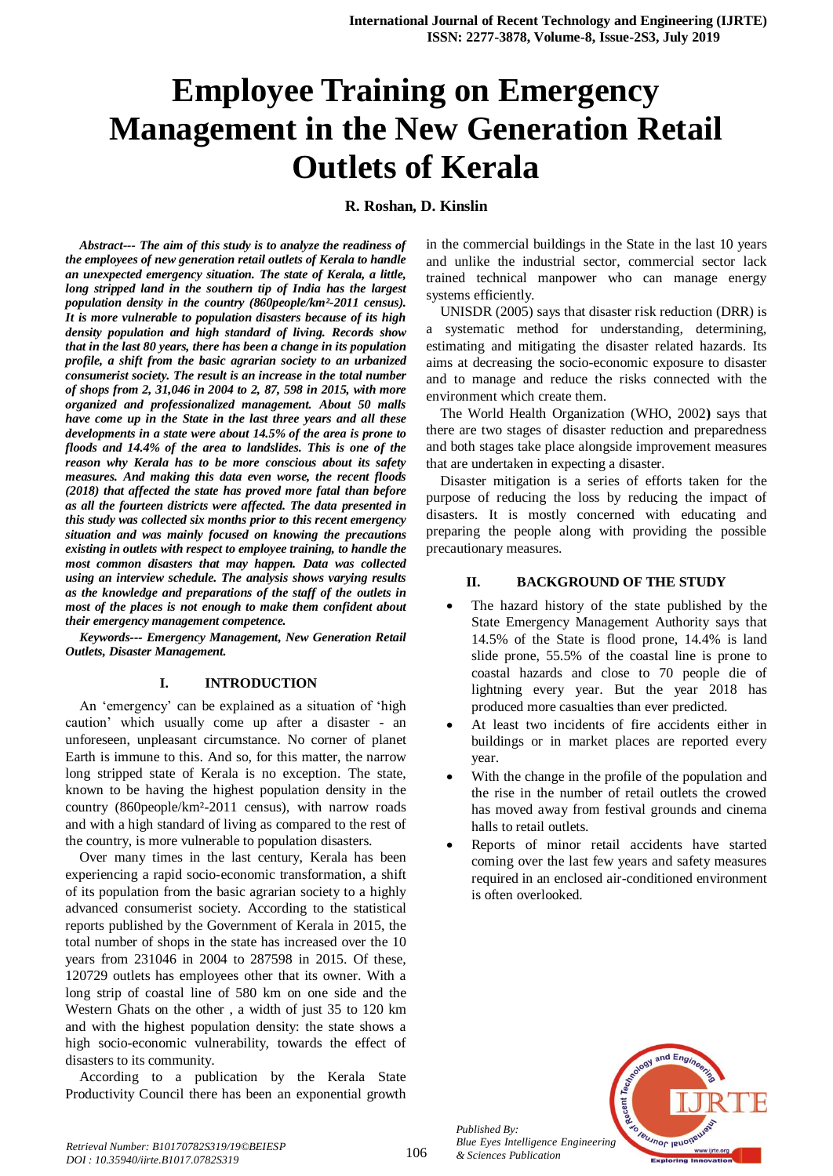# **Employee Training on Emergency Management in the New Generation Retail Outlets of Kerala**

## **R. Roshan, D. Kinslin**

*Abstract--- The aim of this study is to analyze the readiness of the employees of new generation retail outlets of Kerala to handle an unexpected emergency situation. The state of Kerala, a little, long stripped land in the southern tip of India has the largest population density in the country (860people/km²-2011 census). It is more vulnerable to population disasters because of its high density population and high standard of living. Records show that in the last 80 years, there has been a change in its population profile, a shift from the basic agrarian society to an urbanized consumerist society. The result is an increase in the total number of shops from 2, 31,046 in 2004 to 2, 87, 598 in 2015, with more organized and professionalized management. About 50 malls have come up in the State in the last three years and all these developments in a state were about 14.5% of the area is prone to floods and 14.4% of the area to landslides. This is one of the reason why Kerala has to be more conscious about its safety measures. And making this data even worse, the recent floods (2018) that affected the state has proved more fatal than before as all the fourteen districts were affected. The data presented in this study was collected six months prior to this recent emergency situation and was mainly focused on knowing the precautions existing in outlets with respect to employee training, to handle the most common disasters that may happen. Data was collected using an interview schedule. The analysis shows varying results as the knowledge and preparations of the staff of the outlets in most of the places is not enough to make them confident about their emergency management competence.*

*Keywords--- Emergency Management, New Generation Retail Outlets, Disaster Management.*

#### **I. INTRODUCTION**

An 'emergency' can be explained as a situation of 'high caution' which usually come up after a disaster - an unforeseen, unpleasant circumstance. No corner of planet Earth is immune to this. And so, for this matter, the narrow long stripped state of Kerala is no exception. The state, known to be having the highest population density in the country (860people/km²-2011 census), with narrow roads and with a high standard of living as compared to the rest of the country, is more vulnerable to population disasters.

Over many times in the last century, Kerala has been experiencing a rapid socio-economic transformation, a shift of its population from the basic agrarian society to a highly advanced consumerist society. According to the statistical reports published by the Government of Kerala in 2015, the total number of shops in the state has increased over the 10 years from 231046 in 2004 to 287598 in 2015. Of these, 120729 outlets has employees other that its owner. With a long strip of coastal line of 580 km on one side and the Western Ghats on the other , a width of just 35 to 120 km and with the highest population density: the state shows a high socio-economic vulnerability, towards the effect of disasters to its community.

According to a publication by the Kerala State Productivity Council there has been an exponential growth in the commercial buildings in the State in the last 10 years and unlike the industrial sector, commercial sector lack trained technical manpower who can manage energy systems efficiently.

UNISDR (2005) says that disaster risk reduction (DRR) is a systematic method for understanding, determining, estimating and mitigating the disaster related hazards. Its aims at decreasing the socio-economic exposure to disaster and to manage and reduce the risks connected with the environment which create them.

The World Health Organization (WHO, 2002**)** says that there are two stages of disaster reduction and preparedness and both stages take place alongside improvement measures that are undertaken in expecting a disaster.

Disaster mitigation is a series of efforts taken for the purpose of reducing the loss by reducing the impact of disasters. It is mostly concerned with educating and preparing the people along with providing the possible precautionary measures.

## **II. BACKGROUND OF THE STUDY**

- The hazard history of the state published by the State Emergency Management Authority says that 14.5% of the State is flood prone, 14.4% is land slide prone, 55.5% of the coastal line is prone to coastal hazards and close to 70 people die of lightning every year. But the year 2018 has produced more casualties than ever predicted.
- At least two incidents of fire accidents either in buildings or in market places are reported every year.
- With the change in the profile of the population and the rise in the number of retail outlets the crowed has moved away from festival grounds and cinema halls to retail outlets.
- Reports of minor retail accidents have started coming over the last few years and safety measures required in an enclosed air-conditioned environment is often overlooked.



*Published By:*

*& Sciences Publication*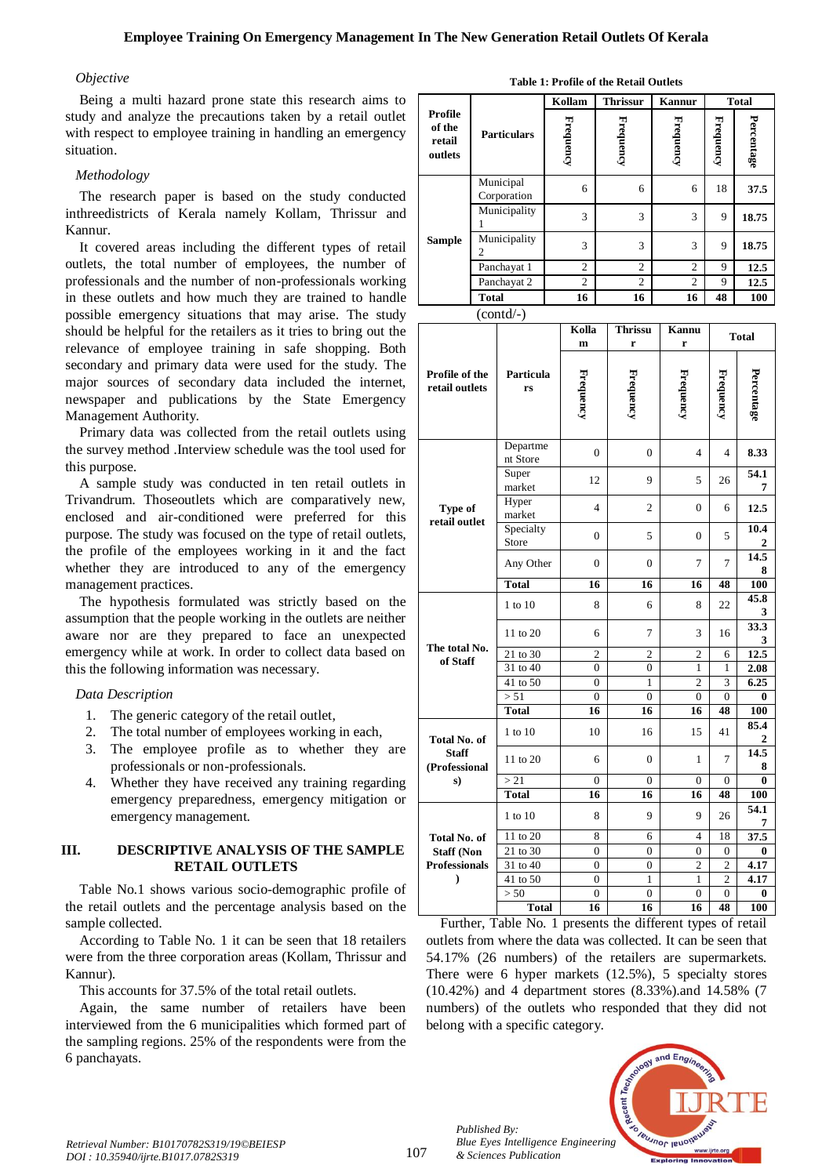#### *Objective*

Being a multi hazard prone state this research aims to study and analyze the precautions taken by a retail outlet with respect to employee training in handling an emergency situation.

## *Methodology*

The research paper is based on the study conducted inthreedistricts of Kerala namely Kollam, Thrissur and Kannur.

It covered areas including the different types of retail outlets, the total number of employees, the number of professionals and the number of non-professionals working in these outlets and how much they are trained to handle possible emergency situations that may arise. The study should be helpful for the retailers as it tries to bring out the relevance of employee training in safe shopping. Both secondary and primary data were used for the study. The major sources of secondary data included the internet, newspaper and publications by the State Emergency Management Authority.

Primary data was collected from the retail outlets using the survey method .Interview schedule was the tool used for this purpose.

A sample study was conducted in ten retail outlets in Trivandrum. Thoseoutlets which are comparatively new, enclosed and air-conditioned were preferred for this purpose. The study was focused on the type of retail outlets, the profile of the employees working in it and the fact whether they are introduced to any of the emergency management practices.

The hypothesis formulated was strictly based on the assumption that the people working in the outlets are neither aware nor are they prepared to face an unexpected emergency while at work. In order to collect data based on this the following information was necessary.

#### *Data Description*

- 1. The generic category of the retail outlet,
- 2. The total number of employees working in each,
- 3. The employee profile as to whether they are professionals or non-professionals.
- 4. Whether they have received any training regarding emergency preparedness, emergency mitigation or emergency management.

#### **III. DESCRIPTIVE ANALYSIS OF THE SAMPLE RETAIL OUTLETS**

Table No.1 shows various socio-demographic profile of the retail outlets and the percentage analysis based on the sample collected.

According to Table No. 1 it can be seen that 18 retailers were from the three corporation areas (Kollam, Thrissur and Kannur).

This accounts for 37.5% of the total retail outlets.

Again, the same number of retailers have been interviewed from the 6 municipalities which formed part of the sampling regions. 25% of the respondents were from the 6 panchayats.

| Table 1: Profile of the Retail Outlets |  |  |  |  |  |  |  |
|----------------------------------------|--|--|--|--|--|--|--|
|----------------------------------------|--|--|--|--|--|--|--|

|                                        |                          | Kollam           | <b>Thrissur</b> |           | <b>Total</b> |            |
|----------------------------------------|--------------------------|------------------|-----------------|-----------|--------------|------------|
| Profile<br>of the<br>retail<br>outlets | <b>Particulars</b>       | <b>Frequency</b> | Frequency       | Frequency | Frequency    | Percentage |
| Sample                                 | Municipal<br>Corporation | 6                | 6               | 6         | 18           | 37.5       |
|                                        | Municipality             | 3                | 3               | 3         | 9            | 18.75      |
|                                        | Municipality             | 3                | 3               | 3         | 9            | 18.75      |
|                                        | Panchayat 1              | 2                | $\overline{2}$  | 2         | 9            | 12.5       |
|                                        | Panchayat 2              | 2                | $\mathfrak{2}$  | 2         | 9            | 12.5       |
|                                        | <b>Total</b>             | 16               | 16              | 16        | 48           | 100        |
|                                        | (contd/-)                |                  |                 |           |              |            |

|                                               |                      | Kolla<br>m     | <b>Thrissu</b><br>r | <b>Kannu</b><br>r | <b>Total</b>   |            |
|-----------------------------------------------|----------------------|----------------|---------------------|-------------------|----------------|------------|
| Profile of the<br>retail outlets              | Particula<br>rs      | Frequency      | Frequency           | Frequency         | Frequency      | Percentage |
|                                               | Departme<br>nt Store | $\overline{0}$ | $\mathbf{0}$        | 4                 | $\overline{4}$ | 8.33       |
|                                               | Super<br>market      | 12             | 9                   | 5                 | 26             | 54.1<br>7  |
| Type of<br>retail outlet                      | Hyper<br>market      | 4              | $\overline{c}$      | 0                 | 6              | 12.5       |
|                                               | Specialty<br>Store   | 0              | 5                   | 0                 | 5              | 10.4<br>2  |
|                                               | Any Other            | 0              | $\boldsymbol{0}$    | 7                 | 7              | 14.5<br>8  |
|                                               | <b>Total</b>         | 16             | 16                  | 16                | 48             | 100        |
| The total No.<br>of Staff                     | 1 to 10              | 8              | 6                   | 8                 | 22             | 45.8<br>3  |
|                                               | 11 to 20             | 6              | 7                   | 3                 | 16             | 33.3<br>3  |
|                                               | 21 to 30             | $\overline{c}$ | $\overline{c}$      | $\overline{c}$    | 6              | 12.5       |
|                                               | 31 to 40             | $\overline{0}$ | $\overline{0}$      | $\mathbf{1}$      | $\mathbf{1}$   | 2.08       |
|                                               | 41 to 50             | $\theta$       | 1                   | $\overline{2}$    | 3              | 6.25       |
|                                               | > 51                 | $\theta$       | $\theta$            | $\overline{0}$    | $\overline{0}$ | 0          |
|                                               | <b>Total</b>         | 16             | 16                  | 16                | 48             | 100        |
| Total No. of<br><b>Staff</b><br>(Professional | 1 to 10              | 10             | 16                  | 15                | 41             | 85.4<br>2  |
|                                               | 11 to 20             | 6              | $\overline{0}$      | 1                 | 7              | 14.5<br>8  |
| s)                                            | > 21                 | $\Omega$       | $\theta$            | $\mathbf{0}$      | $\mathbf{0}$   | 0          |
|                                               | <b>Total</b>         | 16             | 16                  | 16                | 48             | 100        |
|                                               | 1 to 10              | 8              | 9                   | 9                 | 26             | 54.1<br>7  |
| Total No. of                                  | 11 to 20             | 8              | 6                   | $\overline{4}$    | 18             | 37.5       |
| <b>Staff (Non</b>                             | 21 to 30             | $\overline{0}$ | $\overline{0}$      | $\mathbf{0}$      | $\overline{0}$ | 0          |
| <b>Professionals</b>                          | 31 to 40             | $\theta$       | $\theta$            | $\overline{2}$    | $\overline{2}$ | 4.17       |
| ⟩                                             | 41 to 50             | $\overline{0}$ | $\mathbf{1}$        | 1                 | $\overline{2}$ | 4.17       |
|                                               | > 50                 | 0              | $\overline{0}$      | 0                 | 0              | 0          |
|                                               | <b>Total</b>         | 16             | 16                  | 16                | 48             | 100        |

Further, Table No. 1 presents the different types of retail outlets from where the data was collected. It can be seen that 54.17% (26 numbers) of the retailers are supermarkets. There were 6 hyper markets (12.5%), 5 specialty stores (10.42%) and 4 department stores (8.33%).and 14.58% (7 numbers) of the outlets who responded that they did not belong with a specific category.



*Published By:*

*& Sciences Publication*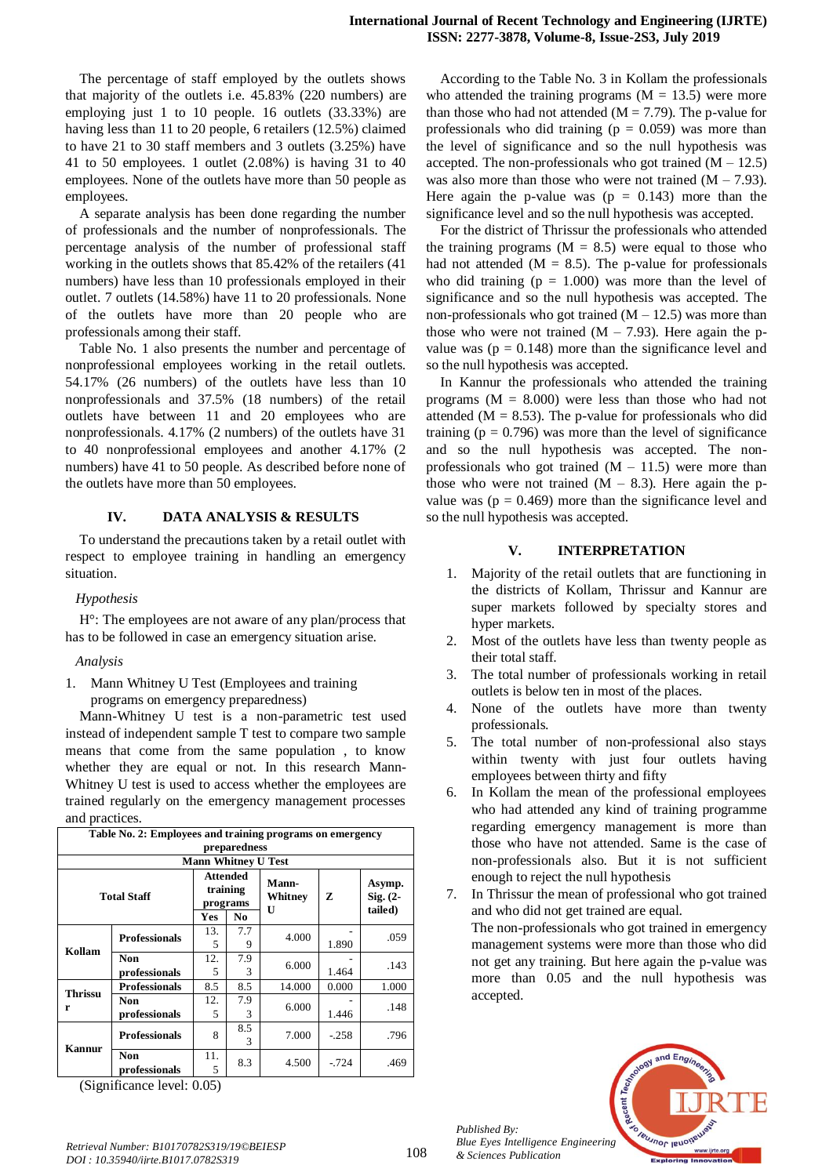The percentage of staff employed by the outlets shows that majority of the outlets i.e. 45.83% (220 numbers) are employing just 1 to 10 people. 16 outlets (33.33%) are having less than 11 to 20 people, 6 retailers (12.5%) claimed to have 21 to 30 staff members and 3 outlets (3.25%) have 41 to 50 employees. 1 outlet (2.08%) is having 31 to 40 employees. None of the outlets have more than 50 people as employees.

A separate analysis has been done regarding the number of professionals and the number of nonprofessionals. The percentage analysis of the number of professional staff working in the outlets shows that 85.42% of the retailers (41 numbers) have less than 10 professionals employed in their outlet. 7 outlets (14.58%) have 11 to 20 professionals. None of the outlets have more than 20 people who are professionals among their staff.

Table No. 1 also presents the number and percentage of nonprofessional employees working in the retail outlets. 54.17% (26 numbers) of the outlets have less than 10 nonprofessionals and 37.5% (18 numbers) of the retail outlets have between 11 and 20 employees who are nonprofessionals. 4.17% (2 numbers) of the outlets have 31 to 40 nonprofessional employees and another 4.17% (2 numbers) have 41 to 50 people. As described before none of the outlets have more than 50 employees.

## **IV. DATA ANALYSIS & RESULTS**

To understand the precautions taken by a retail outlet with respect to employee training in handling an emergency situation.

# *Hypothesis*

H°: The employees are not aware of any plan/process that has to be followed in case an emergency situation arise.

# *Analysis*

1. Mann Whitney U Test (Employees and training programs on emergency preparedness)

Mann-Whitney U test is a non-parametric test used instead of independent sample T test to compare two sample means that come from the same population , to know whether they are equal or not. In this research Mann-Whitney U test is used to access whether the employees are trained regularly on the emergency management processes and practices.

| Table No. 2: Employees and training programs on emergency |                             |                                         |                |                                         |        |                                          |  |  |
|-----------------------------------------------------------|-----------------------------|-----------------------------------------|----------------|-----------------------------------------|--------|------------------------------------------|--|--|
| preparedness<br><b>Mann Whitney U Test</b>                |                             |                                         |                |                                         |        |                                          |  |  |
| <b>Total Staff</b>                                        |                             | <b>Attended</b><br>training<br>programs |                | <b>Mann-</b><br>Whitney<br>$\mathbf{U}$ | z      | Asymp.<br>$\mathrm{Sig.}$ (2-<br>tailed) |  |  |
|                                                           |                             | Yes                                     | N <sub>0</sub> |                                         |        |                                          |  |  |
| Kollam                                                    | <b>Professionals</b>        | 13.<br>5                                | 7.7<br>9       | 4.000                                   | 1.890  | .059                                     |  |  |
|                                                           | Non<br>professionals        | 12.<br>5                                | 7.9<br>3       | 6.000                                   | 1.464  | .143                                     |  |  |
| <b>Thrissu</b><br>r                                       | <b>Professionals</b>        | 8.5                                     | 8.5            | 14.000                                  | 0.000  | 1.000                                    |  |  |
|                                                           | <b>Non</b><br>professionals | 12.<br>5                                | 7.9<br>3       | 6.000                                   | 1.446  | .148                                     |  |  |
| Kannur                                                    | <b>Professionals</b>        | 8                                       | 8.5<br>3       | 7.000                                   | $-258$ | .796                                     |  |  |
|                                                           | Non<br>professionals        | 11.<br>5                                | 8.3            | 4.500                                   | $-724$ | .469                                     |  |  |

(Significance level: 0.05)

According to the Table No. 3 in Kollam the professionals who attended the training programs  $(M = 13.5)$  were more than those who had not attended ( $M = 7.79$ ). The p-value for professionals who did training ( $p = 0.059$ ) was more than the level of significance and so the null hypothesis was accepted. The non-professionals who got trained  $(M - 12.5)$ was also more than those who were not trained  $(M - 7.93)$ . Here again the p-value was  $(p = 0.143)$  more than the significance level and so the null hypothesis was accepted.

For the district of Thrissur the professionals who attended the training programs  $(M = 8.5)$  were equal to those who had not attended ( $M = 8.5$ ). The p-value for professionals who did training  $(p = 1.000)$  was more than the level of significance and so the null hypothesis was accepted. The non-professionals who got trained  $(M - 12.5)$  was more than those who were not trained  $(M - 7.93)$ . Here again the pvalue was ( $p = 0.148$ ) more than the significance level and so the null hypothesis was accepted.

In Kannur the professionals who attended the training programs  $(M = 8.000)$  were less than those who had not attended ( $M = 8.53$ ). The p-value for professionals who did training ( $p = 0.796$ ) was more than the level of significance and so the null hypothesis was accepted. The nonprofessionals who got trained  $(M - 11.5)$  were more than those who were not trained  $(M - 8.3)$ . Here again the pvalue was ( $p = 0.469$ ) more than the significance level and so the null hypothesis was accepted.

# **V. INTERPRETATION**

- 1. Majority of the retail outlets that are functioning in the districts of Kollam, Thrissur and Kannur are super markets followed by specialty stores and hyper markets.
- 2. Most of the outlets have less than twenty people as their total staff.
- 3. The total number of professionals working in retail outlets is below ten in most of the places.
- 4. None of the outlets have more than twenty professionals.
- 5. The total number of non-professional also stays within twenty with just four outlets having employees between thirty and fifty
- 6. In Kollam the mean of the professional employees who had attended any kind of training programme regarding emergency management is more than those who have not attended. Same is the case of non-professionals also. But it is not sufficient enough to reject the null hypothesis
- 7. In Thrissur the mean of professional who got trained and who did not get trained are equal. The non-professionals who got trained in emergency management systems were more than those who did not get any training. But here again the p-value was more than 0.05 and the null hypothesis was accepted.



*Published By: Blue Eyes Intelligence Engineering & Sciences Publication*